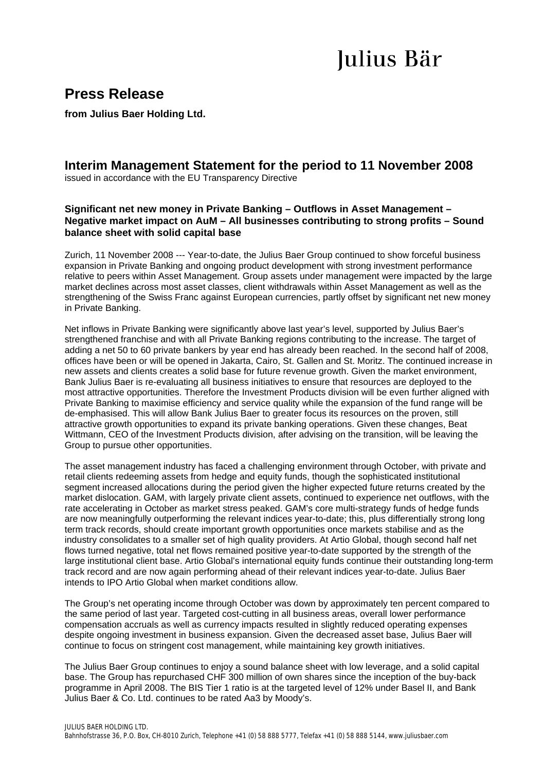# Julius Bär

## **Press Release**

**from Julius Baer Holding Ltd.** 

### **Interim Management Statement for the period to 11 November 2008**

issued in accordance with the EU Transparency Directive

#### **Significant net new money in Private Banking – Outflows in Asset Management – Negative market impact on AuM – All businesses contributing to strong profits – Sound balance sheet with solid capital base**

Zurich, 11 November 2008 --- Year-to-date, the Julius Baer Group continued to show forceful business expansion in Private Banking and ongoing product development with strong investment performance relative to peers within Asset Management. Group assets under management were impacted by the large market declines across most asset classes, client withdrawals within Asset Management as well as the strengthening of the Swiss Franc against European currencies, partly offset by significant net new money in Private Banking.

Net inflows in Private Banking were significantly above last year's level, supported by Julius Baer's strengthened franchise and with all Private Banking regions contributing to the increase. The target of adding a net 50 to 60 private bankers by year end has already been reached. In the second half of 2008, offices have been or will be opened in Jakarta, Cairo, St. Gallen and St. Moritz. The continued increase in new assets and clients creates a solid base for future revenue growth. Given the market environment, Bank Julius Baer is re-evaluating all business initiatives to ensure that resources are deployed to the most attractive opportunities. Therefore the Investment Products division will be even further aligned with Private Banking to maximise efficiency and service quality while the expansion of the fund range will be de-emphasised. This will allow Bank Julius Baer to greater focus its resources on the proven, still attractive growth opportunities to expand its private banking operations. Given these changes, Beat Wittmann, CEO of the Investment Products division, after advising on the transition, will be leaving the Group to pursue other opportunities.

The asset management industry has faced a challenging environment through October, with private and retail clients redeeming assets from hedge and equity funds, though the sophisticated institutional segment increased allocations during the period given the higher expected future returns created by the market dislocation. GAM, with largely private client assets, continued to experience net outflows, with the rate accelerating in October as market stress peaked. GAM's core multi-strategy funds of hedge funds are now meaningfully outperforming the relevant indices year-to-date; this, plus differentially strong long term track records, should create important growth opportunities once markets stabilise and as the industry consolidates to a smaller set of high quality providers. At Artio Global, though second half net flows turned negative, total net flows remained positive year-to-date supported by the strength of the large institutional client base. Artio Global's international equity funds continue their outstanding long-term track record and are now again performing ahead of their relevant indices year-to-date. Julius Baer intends to IPO Artio Global when market conditions allow.

The Group's net operating income through October was down by approximately ten percent compared to the same period of last year. Targeted cost-cutting in all business areas, overall lower performance compensation accruals as well as currency impacts resulted in slightly reduced operating expenses despite ongoing investment in business expansion. Given the decreased asset base, Julius Baer will continue to focus on stringent cost management, while maintaining key growth initiatives.

The Julius Baer Group continues to enjoy a sound balance sheet with low leverage, and a solid capital base. The Group has repurchased CHF 300 million of own shares since the inception of the buy-back programme in April 2008. The BIS Tier 1 ratio is at the targeted level of 12% under Basel II, and Bank Julius Baer & Co. Ltd. continues to be rated Aa3 by Moody's.